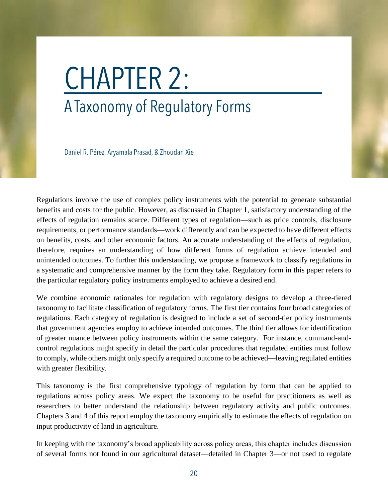# **CHAPTER 2:** A Taxonomy of Regulatory Forms

Daniel R. Pérez, Aryamala Prasad, & Zhoudan Xie

Regulations involve the use of complex policy instruments with the potential to generate substantial benefits and costs for the public. However, as discussed in Chapter 1, satisfactory understanding of the effects of regulation remains scarce. Different types of regulation—such as price controls, disclosure requirements, or performance standards—work differently and can be expected to have different effects on benefits, costs, and other economic factors. An accurate understanding of the effects of regulation, therefore, requires an understanding of how different forms of regulation achieve intended and unintended outcomes. To further this understanding, we propose a framework to classify regulations in a systematic and comprehensive manner by the form they take. Regulatory form in this paper refers to the particular regulatory policy instruments employed to achieve a desired end.

We combine economic rationales for regulation with regulatory designs to develop a three-tiered taxonomy to facilitate classification of regulatory forms. The first tier contains four broad categories of regulations. Each category of regulation is designed to include a set of second-tier policy instruments that government agencies employ to achieve intended outcomes. The third tier allows for identification of greater nuance between policy instruments within the same category. For instance, command-andcontrol regulations might specify in detail the particular procedures that regulated entities must follow to comply, while others might only specify a required outcome to be achieved—leaving regulated entities with greater flexibility.

This taxonomy is the first comprehensive typology of regulation by form that can be applied to regulations across policy areas. We expect the taxonomy to be useful for practitioners as well as researchers to better understand the relationship between regulatory activity and public outcomes. Chapters 3 and 4 of this report employ the taxonomy empirically to estimate the effects of regulation on input productivity of land in agriculture.

In keeping with the taxonomy's broad applicability across policy areas, this chapter includes discussion of several forms not found in our agricultural dataset—detailed in Chapter 3—or not used to regulate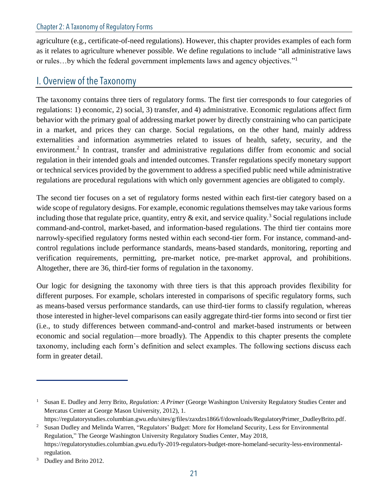agriculture (e.g., certificate-of-need regulations). However, this chapter provides examples of each form as it relates to agriculture whenever possible. We define regulations to include "all administrative laws or rules...by which the federal government implements laws and agency objectives."<sup>1</sup>

# I. Overview of the Taxonomy

The taxonomy contains three tiers of regulatory forms. The first tier corresponds to four categories of regulations: 1) economic, 2) social, 3) transfer, and 4) administrative. Economic regulations affect firm behavior with the primary goal of addressing market power by directly constraining who can participate in a market, and prices they can charge. Social regulations, on the other hand, mainly address externalities and information asymmetries related to issues of health, safety, security, and the environment.<sup>2</sup> In contrast, transfer and administrative regulations differ from economic and social regulation in their intended goals and intended outcomes. Transfer regulations specify monetary support or technical services provided by the government to address a specified public need while administrative regulations are procedural regulations with which only government agencies are obligated to comply.

The second tier focuses on a set of regulatory forms nested within each first-tier category based on a wide scope of regulatory designs. For example, economic regulations themselves may take various forms including those that regulate price, quantity, entry  $\&$  exit, and service quality.<sup>3</sup> Social regulations include command-and-control, market-based, and information-based regulations. The third tier contains more narrowly-specified regulatory forms nested within each second-tier form. For instance, command-andcontrol regulations include performance standards, means-based standards, monitoring, reporting and verification requirements, permitting, pre-market notice, pre-market approval, and prohibitions. Altogether, there are 36, third-tier forms of regulation in the taxonomy.

Our logic for designing the taxonomy with three tiers is that this approach provides flexibility for different purposes. For example, scholars interested in comparisons of specific regulatory forms, such as means-based versus performance standards, can use third-tier forms to classify regulation, whereas those interested in higher-level comparisons can easily aggregate third-tier forms into second or first tier (i.e., to study differences between command-and-control and market-based instruments or between economic and social regulation—more broadly). The Appendix to this chapter presents the complete taxonomy, including each form's definition and select examples. The following sections discuss each form in greater detail.

<sup>2</sup> Susan Dudley and Melinda Warren, "Regulators' Budget: More for Homeland Security, Less for Environmental Regulation," The George Washington University Regulatory Studies Center, May 2018, https://regulatorystudies.columbian.gwu.edu/fy-2019-regulators-budget-more-homeland-security-less-environmentalregulation.

<sup>3</sup> Dudley and Brito 2012.

<sup>1</sup> Susan E. Dudley and Jerry Brito, *Regulation: A Primer* (George Washington University Regulatory Studies Center and Mercatus Center at George Mason University, 2012), 1.

https://regulatorystudies.columbian.gwu.edu/sites/g/files/zaxdzs1866/f/downloads/RegulatoryPrimer\_DudleyBrito.pdf.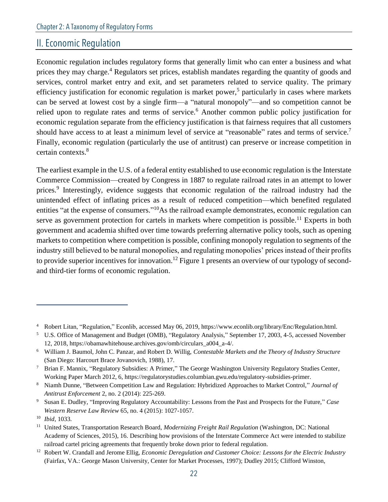# II. Economic Regulation

Economic regulation includes regulatory forms that generally limit who can enter a business and what prices they may charge.<sup>4</sup> Regulators set prices, establish mandates regarding the quantity of goods and services, control market entry and exit, and set parameters related to service quality. The primary efficiency justification for economic regulation is market power,<sup>5</sup> particularly in cases where markets can be served at lowest cost by a single firm—a "natural monopoly"—and so competition cannot be relied upon to regulate rates and terms of service.<sup>6</sup> Another common public policy justification for economic regulation separate from the efficiency justification is that fairness requires that all customers should have access to at least a minimum level of service at "reasonable" rates and terms of service.<sup>7</sup> Finally, economic regulation (particularly the use of antitrust) can preserve or increase competition in certain contexts.<sup>8</sup>

The earliest example in the U.S. of a federal entity established to use economic regulation is the Interstate Commerce Commission—created by Congress in 1887 to regulate railroad rates in an attempt to lower prices.<sup>9</sup> Interestingly, evidence suggests that economic regulation of the railroad industry had the unintended effect of inflating prices as a result of reduced competition—which benefited regulated entities "at the expense of consumers."<sup>10</sup>As the railroad example demonstrates, economic regulation can serve as government protection for cartels in markets where competition is possible.<sup>11</sup> Experts in both government and academia shifted over time towards preferring alternative policy tools, such as opening markets to competition where competition is possible, confining monopoly regulation to segments of the industry still believed to be natural monopolies, and regulating monopolies' prices instead of their profits to provide superior incentives for innovation.<sup>12</sup> Figure 1 presents an overview of our typology of secondand third-tier forms of economic regulation.

<sup>4</sup> Robert Litan, "Regulation," Econlib, accessed May 06, 2019, https://www.econlib.org/library/Enc/Regulation.html.

<sup>5</sup> U.S. Office of Management and Budget (OMB), "Regulatory Analysis," September 17, 2003, 4-5, accessed November 12, 2018, https://obamawhitehouse.archives.gov/omb/circulars\_a004\_a-4/.

<sup>6</sup> William J. Baumol, John C. Panzar, and Robert D. Willig, *Contestable Markets and the Theory of Industry Structure* (San Diego: Harcourt Brace Jovanovich, 1988), 17.

<sup>&</sup>lt;sup>7</sup> Brian F. Mannix, "Regulatory Subsidies: A Primer," The George Washington University Regulatory Studies Center, Working Paper March 2012, 6, https://regulatorystudies.columbian.gwu.edu/regulatory-subsidies-primer.

<sup>8</sup> Niamh Dunne, "Between Competition Law and Regulation: Hybridized Approaches to Market Control," *Journal of Antitrust Enforcement* 2, no. 2 (2014): 225-269.

<sup>9</sup> Susan E. Dudley, "Improving Regulatory Accountability: Lessons from the Past and Prospects for the Future," *Case Western Reserve Law Review* 65, no. 4 (2015): 1027-1057.

<sup>10</sup> *Ibid*, 1033.

<sup>11</sup> United States, Transportation Research Board, *Modernizing Freight Rail Regulation* (Washington, DC: National Academy of Sciences, 2015), 16. Describing how provisions of the Interstate Commerce Act were intended to stabilize railroad cartel pricing agreements that frequently broke down prior to federal regulation.

<sup>12</sup> Robert W. Crandall and Jerome Ellig, *Economic Deregulation and Customer Choice: Lessons for the Electric Industry* (Fairfax, VA.: George Mason University, Center for Market Processes, 1997); Dudley 2015; Clifford Winston,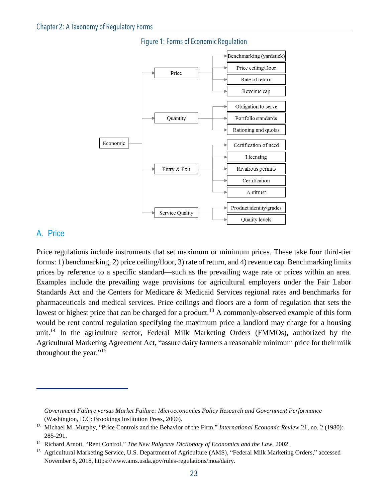

#### Figure 1: Forms of Economic Regulation

#### A. Price

Price regulations include instruments that set maximum or minimum prices. These take four third-tier forms: 1) benchmarking, 2) price ceiling/floor, 3) rate of return, and 4) revenue cap. Benchmarking limits prices by reference to a specific standard—such as the prevailing wage rate or prices within an area. Examples include the prevailing wage provisions for agricultural employers under the Fair Labor Standards Act and the Centers for Medicare & Medicaid Services regional rates and benchmarks for pharmaceuticals and medical services. Price ceilings and floors are a form of regulation that sets the lowest or highest price that can be charged for a product.<sup>13</sup> A commonly-observed example of this form would be rent control regulation specifying the maximum price a landlord may charge for a housing unit.<sup>14</sup> In the agriculture sector, Federal Milk Marketing Orders (FMMOs), authorized by the Agricultural Marketing Agreement Act, "assure dairy farmers a reasonable minimum price for their milk throughout the year."<sup>15</sup>

*Government Failure versus Market Failure: Microeconomics Policy Research and Government Performance* (Washington, D.C: Brookings Institution Press, 2006).

<sup>13</sup> Michael M. Murphy, "Price Controls and the Behavior of the Firm," *International Economic Review* 21, no. 2 (1980): 285-291.

<sup>14</sup> Richard Arnott, "Rent Control," *The New Palgrave Dictionary of Economics and the Law*, 2002.

<sup>&</sup>lt;sup>15</sup> Agricultural Marketing Service, U.S. Department of Agriculture (AMS), "Federal Milk Marketing Orders," accessed November 8, 2018, https://www.ams.usda.gov/rules-regulations/moa/dairy.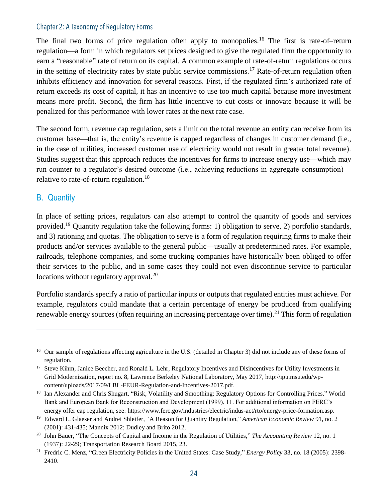The final two forms of price regulation often apply to monopolies.<sup>16</sup> The first is rate-of-return regulation—a form in which regulators set prices designed to give the regulated firm the opportunity to earn a "reasonable" rate of return on its capital. A common example of rate-of-return regulations occurs in the setting of electricity rates by state public service commissions.<sup>17</sup> Rate-of-return regulation often inhibits efficiency and innovation for several reasons. First, if the regulated firm's authorized rate of return exceeds its cost of capital, it has an incentive to use too much capital because more investment means more profit. Second, the firm has little incentive to cut costs or innovate because it will be penalized for this performance with lower rates at the next rate case.

The second form, revenue cap regulation, sets a limit on the total revenue an entity can receive from its customer base—that is, the entity's revenue is capped regardless of changes in customer demand (i.e., in the case of utilities, increased customer use of electricity would not result in greater total revenue). Studies suggest that this approach reduces the incentives for firms to increase energy use—which may run counter to a regulator's desired outcome (i.e., achieving reductions in aggregate consumption) relative to rate-of-return regulation.<sup>18</sup>

## B. Quantity

In place of setting prices, regulators can also attempt to control the quantity of goods and services provided.<sup>19</sup> Quantity regulation take the following forms: 1) obligation to serve, 2) portfolio standards, and 3) rationing and quotas. The obligation to serve is a form of regulation requiring firms to make their products and/or services available to the general public—usually at predetermined rates. For example, railroads, telephone companies, and some trucking companies have historically been obliged to offer their services to the public, and in some cases they could not even discontinue service to particular locations without regulatory approval.<sup>20</sup>

Portfolio standards specify a ratio of particular inputs or outputs that regulated entities must achieve. For example, regulators could mandate that a certain percentage of energy be produced from qualifying renewable energy sources (often requiring an increasing percentage over time).<sup>21</sup> This form of regulation

<sup>&</sup>lt;sup>16</sup> Our sample of regulations affecting agriculture in the U.S. (detailed in Chapter 3) did not include any of these forms of regulation.

<sup>&</sup>lt;sup>17</sup> Steve Kihm, Janice Beecher, and Ronald L. Lehr, Regulatory Incentives and Disincentives for Utility Investments in Grid Modernization, report no. 8, Lawrence Berkeley National Laboratory, May 2017, http://ipu.msu.edu/wpcontent/uploads/2017/09/LBL-FEUR-Regulation-and-Incentives-2017.pdf.

<sup>&</sup>lt;sup>18</sup> Ian Alexander and Chris Shugart, "Risk, Volatility and Smoothing: Regulatory Options for Controlling Prices." World Bank and European Bank for Reconstruction and Development (1999), 11. For additional information on FERC's energy offer cap regulation, see: [https://www.ferc.gov/industries/electric/indus-act/rto/energy-price-formation.asp.](https://www.ferc.gov/industries/electric/indus-act/rto/energy-price-formation.asp)

<sup>19</sup> Edward L. Glaeser and Andrei Shleifer, "A Reason for Quantity Regulation," *American Economic Review* 91, no. 2 (2001): 431-435; Mannix 2012; Dudley and Brito 2012.

<sup>&</sup>lt;sup>20</sup> John Bauer, "The Concepts of Capital and Income in the Regulation of Utilities," *The Accounting Review* 12, no. 1 (1937): 22-29; Transportation Research Board 2015, 23.

<sup>21</sup> Fredric C. Menz, "Green Electricity Policies in the United States: Case Study," *Energy Policy* 33, no. 18 (2005): 2398- 2410.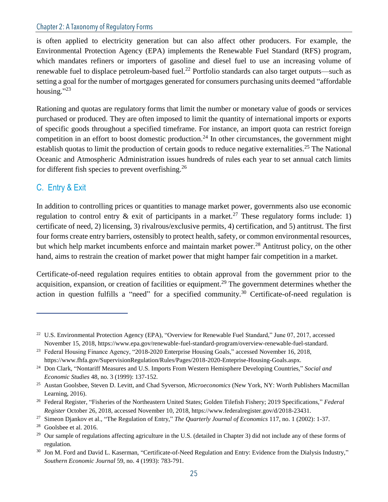is often applied to electricity generation but can also affect other producers. For example, the Environmental Protection Agency (EPA) implements the Renewable Fuel Standard (RFS) program, which mandates refiners or importers of gasoline and diesel fuel to use an increasing volume of renewable fuel to displace petroleum-based fuel.<sup>22</sup> Portfolio standards can also target outputs—such as setting a goal for the number of mortgages generated for consumers purchasing units deemed "affordable housing."<sup>23</sup>

Rationing and quotas are regulatory forms that limit the number or monetary value of goods or services purchased or produced. They are often imposed to limit the quantity of international imports or exports of specific goods throughout a specified timeframe. For instance, an import quota can restrict foreign competition in an effort to boost domestic production.<sup>24</sup> In other circumstances, the government might establish quotas to limit the production of certain goods to reduce negative externalities.<sup>25</sup> The National Oceanic and Atmospheric Administration issues hundreds of rules each year to set annual catch limits for different fish species to prevent overfishing.<sup>26</sup>

# C. Entry & Exit

In addition to controlling prices or quantities to manage market power, governments also use economic regulation to control entry  $\&$  exit of participants in a market.<sup>27</sup> These regulatory forms include: 1) certificate of need, 2) licensing, 3) rivalrous/exclusive permits, 4) certification, and 5) antitrust. The first four forms create entry barriers, ostensibly to protect health, safety, or common environmental resources, but which help market incumbents enforce and maintain market power.<sup>28</sup> Antitrust policy, on the other hand, aims to restrain the creation of market power that might hamper fair competition in a market.

Certificate-of-need regulation requires entities to obtain approval from the government prior to the acquisition, expansion, or creation of facilities or equipment.<sup>29</sup> The government determines whether the action in question fulfills a "need" for a specified community.<sup>30</sup> Certificate-of-need regulation is

<sup>&</sup>lt;sup>22</sup> U.S. Environmental Protection Agency (EPA), "Overview for Renewable Fuel Standard," June 07, 2017, accessed November 15, 2018, https://www.epa.gov/renewable-fuel-standard-program/overview-renewable-fuel-standard.

<sup>&</sup>lt;sup>23</sup> Federal Housing Finance Agency, "2018-2020 Enterprise Housing Goals," accessed November 16, 2018, https://www.fhfa.gov/SupervisionRegulation/Rules/Pages/2018-2020-Enteprise-Housing-Goals.aspx.

<sup>24</sup> Don Clark, "Nontariff Measures and U.S. Imports From Western Hemisphere Developing Countries," *Social and Economic Studies* 48, no. 3 (1999): 137-152.

<sup>25</sup> Austan Goolsbee, Steven D. Levitt, and Chad Syverson, *Microeconomics* (New York, NY: Worth Publishers Macmillan Learning, 2016).

<sup>26</sup> Federal Register, "Fisheries of the Northeastern United States; Golden Tilefish Fishery; 2019 Specifications," *Federal Register* October 26, 2018, accessed November 10, 2018, https://www.federalregister.gov/d/2018-23431.

<sup>27</sup> Simeon Djankov et al., "The Regulation of Entry," *The Quarterly Journal of Economics* 117, no. 1 (2002): 1-37.

 $28$  Goolsbee et al. 2016.

<sup>&</sup>lt;sup>29</sup> Our sample of regulations affecting agriculture in the U.S. (detailed in Chapter 3) did not include any of these forms of regulation.

<sup>&</sup>lt;sup>30</sup> Jon M. Ford and David L. Kaserman, "Certificate-of-Need Regulation and Entry: Evidence from the Dialysis Industry," *Southern Economic Journal* 59, no. 4 (1993): 783-791.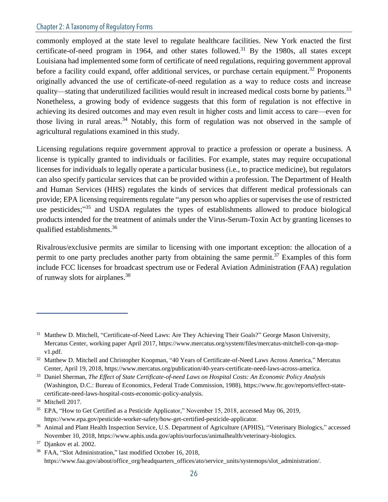commonly employed at the state level to regulate healthcare facilities. New York enacted the first certificate-of-need program in 1964, and other states followed.<sup>31</sup> By the 1980s, all states except Louisiana had implemented some form of certificate of need regulations, requiring government approval before a facility could expand, offer additional services, or purchase certain equipment.<sup>32</sup> Proponents originally advanced the use of certificate-of-need regulation as a way to reduce costs and increase quality—stating that underutilized facilities would result in increased medical costs borne by patients.<sup>33</sup> Nonetheless, a growing body of evidence suggests that this form of regulation is not effective in achieving its desired outcomes and may even result in higher costs and limit access to care—even for those living in rural areas.<sup>34</sup> Notably, this form of regulation was not observed in the sample of agricultural regulations examined in this study.

Licensing regulations require government approval to practice a profession or operate a business. A license is typically granted to individuals or facilities. For example, states may require occupational licenses for individuals to legally operate a particular business (i.e., to practice medicine), but regulators can also specify particular services that can be provided within a profession. The Department of Health and Human Services (HHS) regulates the kinds of services that different medical professionals can provide; EPA licensing requirements regulate "any person who applies or supervises the use of restricted use pesticides;"<sup>35</sup> and USDA regulates the types of establishments allowed to produce biological products intended for the treatment of animals under the Virus-Serum-Toxin Act by granting licenses to qualified establishments.<sup>36</sup>

Rivalrous/exclusive permits are similar to licensing with one important exception: the allocation of a permit to one party precludes another party from obtaining the same permit.<sup>37</sup> Examples of this form include FCC licenses for broadcast spectrum use or Federal Aviation Administration (FAA) regulation of runway slots for airplanes.<sup>38</sup>

<sup>&</sup>lt;sup>31</sup> Matthew D. Mitchell, "Certificate-of-Need Laws: Are They Achieving Their Goals?" George Mason University, Mercatus Center, working paper April 2017, https://www.mercatus.org/system/files/mercatus-mitchell-con-qa-mopv1.pdf.

<sup>&</sup>lt;sup>32</sup> Matthew D. Mitchell and Christopher Koopman, "40 Years of Certificate-of-Need Laws Across America," Mercatus Center, April 19, 2018, https://www.mercatus.org/publication/40-years-certificate-need-laws-across-america.

<sup>33</sup> Daniel Sherman, *The Effect of State Certificate-of-need Laws on Hospital Costs: An Economic Policy Analysis* (Washington, D.C.: Bureau of Economics, Federal Trade Commission, 1988), https://www.ftc.gov/reports/effect-statecertificate-need-laws-hospital-costs-economic-policy-analysis.

 $34$  Mitchell 2017.

<sup>35</sup> EPA, "How to Get Certified as a Pesticide Applicator," November 15, 2018, accessed May 06, 2019, https://www.epa.gov/pesticide-worker-safety/how-get-certified-pesticide-applicator.

<sup>36</sup> Animal and Plant Health Inspection Service, U.S. Department of Agriculture (APHIS), "Veterinary Biologics," accessed November 10, 2018, https://www.aphis.usda.gov/aphis/ourfocus/animalhealth/veterinary-biologics.

<sup>37</sup> Djankov et al. 2002.

<sup>38</sup> FAA, "Slot Administration," last modified October 16, 2018, https://www.faa.gov/about/office\_org/headquarters\_offices/ato/service\_units/systemops/slot\_administration/.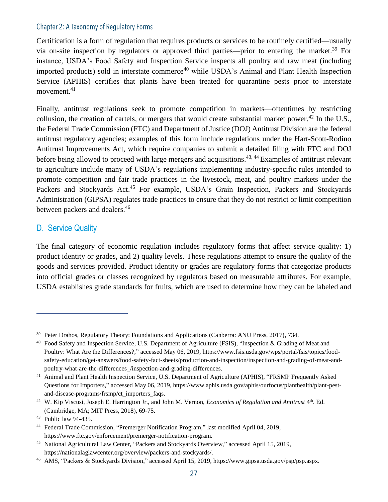Certification is a form of regulation that requires products or services to be routinely certified—usually via on-site inspection by regulators or approved third parties—prior to entering the market.<sup>39</sup> For instance, USDA's Food Safety and Inspection Service inspects all poultry and raw meat (including imported products) sold in interstate commerce<sup>40</sup> while USDA's Animal and Plant Health Inspection Service (APHIS) certifies that plants have been treated for quarantine pests prior to interstate movement.<sup>41</sup>

Finally, antitrust regulations seek to promote competition in markets—oftentimes by restricting collusion, the creation of cartels, or mergers that would create substantial market power.<sup>42</sup> In the U.S., the Federal Trade Commission (FTC) and Department of Justice (DOJ) Antitrust Division are the federal antitrust regulatory agencies; examples of this form include regulations under the Hart-Scott-Rodino Antitrust Improvements Act, which require companies to submit a detailed filing with FTC and DOJ before being allowed to proceed with large mergers and acquisitions.<sup>43, 44</sup> Examples of antitrust relevant to agriculture include many of USDA's regulations implementing industry-specific rules intended to promote competition and fair trade practices in the livestock, meat, and poultry markets under the Packers and Stockyards Act.<sup>45</sup> For example, USDA's Grain Inspection, Packers and Stockyards Administration (GIPSA) regulates trade practices to ensure that they do not restrict or limit competition between packers and dealers.<sup>46</sup>

# D. Service Quality

The final category of economic regulation includes regulatory forms that affect service quality: 1) product identity or grades, and 2) quality levels. These regulations attempt to ensure the quality of the goods and services provided. Product identity or grades are regulatory forms that categorize products into official grades or classes recognized by regulators based on measurable attributes. For example, USDA establishes grade standards for fruits, which are used to determine how they can be labeled and

<sup>&</sup>lt;sup>39</sup> Peter Drahos, Regulatory Theory: Foundations and Applications (Canberra: ANU Press, 2017), 734.

<sup>40</sup> Food Safety and Inspection Service, U.S. Department of Agriculture (FSIS), "Inspection & Grading of Meat and Poultry: What Are the Differences?," accessed May 06, 2019, https://www.fsis.usda.gov/wps/portal/fsis/topics/foodsafety-education/get-answers/food-safety-fact-sheets/production-and-inspection/inspection-and-grading-of-meat-andpoultry-what-are-the-differences\_/inspection-and-grading-differences.

<sup>&</sup>lt;sup>41</sup> Animal and Plant Health Inspection Service, U.S. Department of Agriculture (APHIS), "FRSMP Frequently Asked Questions for Importers," accessed May 06, 2019, https://www.aphis.usda.gov/aphis/ourfocus/planthealth/plant-pestand-disease-programs/frsmp/ct\_importers\_faqs.

 $42$  W. Kip Viscusi, Joseph E. Harrington Jr., and John M. Vernon, *Economics of Regulation and Antitrust*  $4<sup>th</sup>$ . Ed. (Cambridge, MA; MIT Press, 2018), 69-75.

<sup>43</sup> Public law 94-435.

<sup>44</sup> Federal Trade Commission, "Premerger Notification Program," last modified April 04, 2019, https://www.ftc.gov/enforcement/premerger-notification-program.

<sup>45</sup> National Agricultural Law Center, "Packers and Stockyards Overview," accessed April 15, 2019, https://nationalaglawcenter.org/overview/packers-and-stockyards/.

<sup>46</sup> AMS, "Packers & Stockyards Division," accessed April 15, 2019, https://www.gipsa.usda.gov/psp/psp.aspx.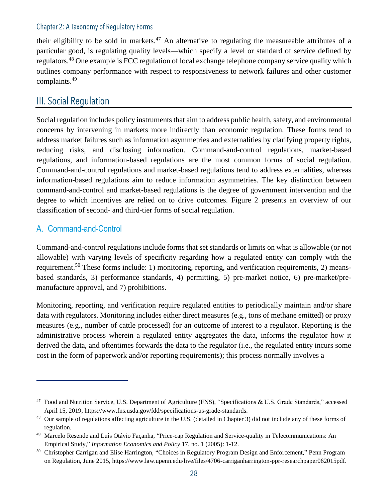their eligibility to be sold in markets.<sup>47</sup> An alternative to regulating the measureable attributes of a particular good, is regulating quality levels—which specify a level or standard of service defined by regulators.<sup>48</sup> One example is FCC regulation of local exchange telephone company service quality which outlines company performance with respect to responsiveness to network failures and other customer complaints.<sup>49</sup>

# **III. Social Requlation**

Social regulation includes policy instruments that aim to address public health, safety, and environmental concerns by intervening in markets more indirectly than economic regulation. These forms tend to address market failures such as information asymmetries and externalities by clarifying property rights, reducing risks, and disclosing information. Command-and-control regulations, market-based regulations, and information-based regulations are the most common forms of social regulation. Command-and-control regulations and market-based regulations tend to address externalities, whereas information-based regulations aim to reduce information asymmetries. The key distinction between command-and-control and market-based regulations is the degree of government intervention and the degree to which incentives are relied on to drive outcomes. Figure 2 presents an overview of our classification of second- and third-tier forms of social regulation.

# A. Command-and-Control

Command-and-control regulations include forms that set standards or limits on what is allowable (or not allowable) with varying levels of specificity regarding how a regulated entity can comply with the requirement.<sup>50</sup> These forms include: 1) monitoring, reporting, and verification requirements, 2) meansbased standards, 3) performance standards, 4) permitting, 5) pre-market notice, 6) pre-market/premanufacture approval, and 7) prohibitions.

Monitoring, reporting, and verification require regulated entities to periodically maintain and/or share data with regulators. Monitoring includes either direct measures (e.g., tons of methane emitted) or proxy measures (e.g., number of cattle processed) for an outcome of interest to a regulator. Reporting is the administrative process wherein a regulated entity aggregates the data, informs the regulator how it derived the data, and oftentimes forwards the data to the regulator (i.e., the regulated entity incurs some cost in the form of paperwork and/or reporting requirements); this process normally involves a

 $47$  Food and Nutrition Service, U.S. Department of Agriculture (FNS), "Specifications & U.S. Grade Standards," accessed April 15, 2019, https://www.fns.usda.gov/fdd/specifications-us-grade-standards.

<sup>&</sup>lt;sup>48</sup> Our sample of regulations affecting agriculture in the U.S. (detailed in Chapter 3) did not include any of these forms of regulation.

<sup>&</sup>lt;sup>49</sup> Marcelo Resende and Luís Otávio Façanha, "Price-cap Regulation and Service-quality in Telecommunications: An Empirical Study," *Information Economics and Policy* 17, no. 1 (2005): 1-12.

<sup>&</sup>lt;sup>50</sup> Christopher Carrigan and Elise Harrington, "Choices in Regulatory Program Design and Enforcement," Penn Program on Regulation, June 2015, https://www.law.upenn.edu/live/files/4706-carriganharrington-ppr-researchpaper062015pdf.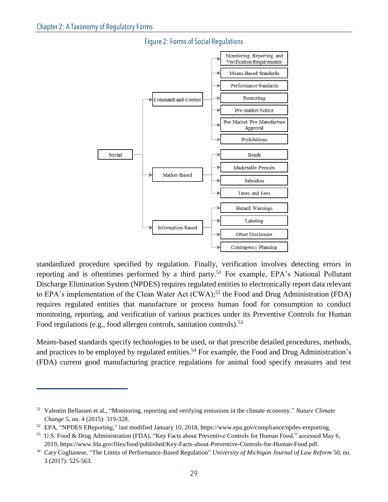

# Figure 2: Forms of Social Regulations

standardized procedure specified by regulation. Finally, verification involves detecting errors in reporting and is oftentimes performed by a third party.<sup>51</sup> For example, EPA's National Pollutant Discharge Elimination System (NPDES) requires regulated entities to electronically report data relevant to EPA's implementation of the Clean Water Act  $(CWA)$ ;<sup>52</sup> the Food and Drug Administration (FDA) requires regulated entities that manufacture or process human food for consumption to conduct monitoring, reporting, and verification of various practices under its Preventive Controls for Human Food regulations (e.g., food allergen controls, sanitation controls).<sup>53</sup>

Means-based standards specify technologies to be used, or that prescribe detailed procedures, methods, and practices to be employed by regulated entities.<sup>54</sup> For example, the Food and Drug Administration's (FDA) current good manufacturing practice regulations for animal food specify measures and test

<sup>51</sup> Valentin Bellassen et al., "Monitoring, reporting and verifying emissions in the climate economy." *Nature Climate Change* 5, no. 4 (2015): 319-328.

<sup>52</sup> EPA, "NPDES EReporting," last modified January 10, 2018, https://www.epa.gov/compliance/npdes-ereporting.

<sup>53</sup> U.S. Food & Drug Administration (FDA), "Key Facts about Preventive Controls for Human Food," accessed May 6, 2019, https://www.fda.gov/files/food/published/Key-Facts-about-Preventive-Controls-for-Human-Food.pdf.

<sup>54</sup> Cary Coglianese, "The Limits of Performance-Based Regulation" *University of Michigan Journal of Law Reform* 50, no. 3 (2017): 525-563.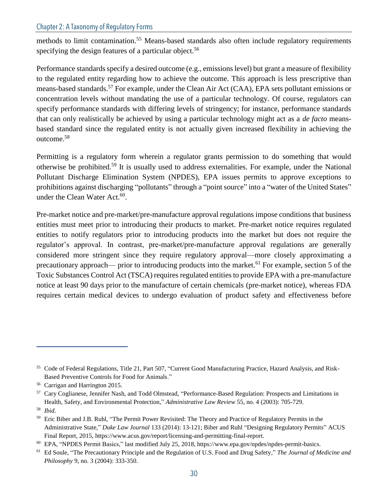methods to limit contamination.<sup>55</sup> Means-based standards also often include regulatory requirements specifying the design features of a particular object.<sup>56</sup>

Performance standards specify a desired outcome (e.g., emissions level) but grant a measure of flexibility to the regulated entity regarding how to achieve the outcome. This approach is less prescriptive than means-based standards.<sup>57</sup> For example, under the Clean Air Act (CAA), EPA sets pollutant emissions or concentration levels without mandating the use of a particular technology. Of course, regulators can specify performance standards with differing levels of stringency; for instance, performance standards that can only realistically be achieved by using a particular technology might act as a *de facto* meansbased standard since the regulated entity is not actually given increased flexibility in achieving the outcome.<sup>58</sup>

Permitting is a regulatory form wherein a regulator grants permission to do something that would otherwise be prohibited.<sup>59</sup> It is usually used to address externalities. For example, under the National Pollutant Discharge Elimination System (NPDES), EPA issues permits to approve exceptions to prohibitions against discharging "pollutants" through a "point source" into a "water of the United States" under the Clean Water Act.<sup>60</sup>.

Pre-market notice and pre-market/pre-manufacture approval regulations impose conditions that business entities must meet prior to introducing their products to market. Pre-market notice requires regulated entities to notify regulators prior to introducing products into the market but does not require the regulator's approval. In contrast, pre-market/pre-manufacture approval regulations are generally considered more stringent since they require regulatory approval—more closely approximating a precautionary approach— prior to introducing products into the market.<sup>61</sup> For example, section 5 of the Toxic Substances Control Act (TSCA) requires regulated entities to provide EPA with a pre-manufacture notice at least 90 days prior to the manufacture of certain chemicals (pre-market notice), whereas FDA requires certain medical devices to undergo evaluation of product safety and effectiveness before

<sup>55</sup> Code of Federal Regulations, Title 21, Part 507, "Current Good Manufacturing Practice, Hazard Analysis, and Risk-Based Preventive Controls for Food for Animals."

<sup>56</sup> Carrigan and Harrington 2015.

<sup>57</sup> Cary Coglianese, Jennifer Nash, and Todd Olmstead, "Performance-Based Regulation: Prospects and Limitations in Health, Safety, and Environmental Protection," *Administrative Law Review* 55, no. 4 (2003): 705-729.

<sup>58</sup> *Ibid*.

<sup>59</sup> Eric Biber and J.B. Ruhl, "The Permit Power Revisited: The Theory and Practice of Regulatory Permits in the Administrative State," *Duke Law Journal* 133 (2014): 13-121; Biber and Ruhl "Designing Regulatory Permits" ACUS Final Report, 2015, https://www.acus.gov/report/licensing-and-permitting-final-report.

<sup>60</sup> EPA, "NPDES Permit Basics," last modified July 25, 2018, https://www.epa.gov/npdes/npdes-permit-basics.

<sup>61</sup> Ed Soule, "The Precautionary Principle and the Regulation of U.S. Food and Drug Safety," *The Journal of Medicine and Philosophy* 9, no. 3 (2004): 333-350.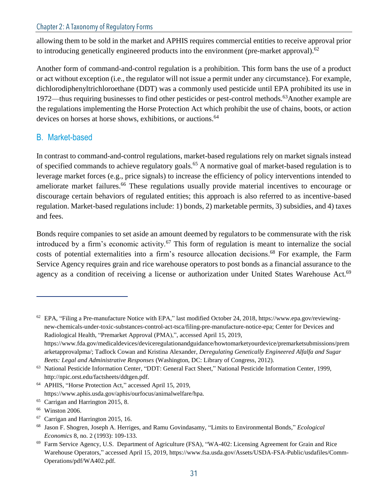allowing them to be sold in the market and APHIS requires commercial entities to receive approval prior to introducing genetically engineered products into the environment (pre-market approval). $62$ 

Another form of command-and-control regulation is a prohibition. This form bans the use of a product or act without exception (i.e., the regulator will not issue a permit under any circumstance). For example, dichlorodiphenyltrichloroethane (DDT) was a commonly used pesticide until EPA prohibited its use in 1972—thus requiring businesses to find other pesticides or pest-control methods.<sup>63</sup>Another example are the regulations implementing the Horse Protection Act which prohibit the use of chains, boots, or action devices on horses at horse shows, exhibitions, or auctions.<sup>64</sup>

#### B. Market-based

In contrast to command-and-control regulations, market-based regulations rely on market signals instead of specified commands to achieve regulatory goals.<sup>65</sup> A normative goal of market-based regulation is to leverage market forces (e.g., price signals) to increase the efficiency of policy interventions intended to ameliorate market failures.<sup>66</sup> These regulations usually provide material incentives to encourage or discourage certain behaviors of regulated entities; this approach is also referred to as incentive-based regulation. Market-based regulations include: 1) bonds, 2) marketable permits, 3) subsidies, and 4) taxes and fees.

Bonds require companies to set aside an amount deemed by regulators to be commensurate with the risk introduced by a firm's economic activity.<sup>67</sup> This form of regulation is meant to internalize the social costs of potential externalities into a firm's resource allocation decisions.<sup>68</sup> For example, the Farm Service Agency requires grain and rice warehouse operators to post bonds as a financial assurance to the agency as a condition of receiving a license or authorization under United States Warehouse Act.<sup>69</sup>

 $62$  EPA, "Filing a Pre-manufacture Notice with EPA," last modified October 24, 2018, https://www.epa.gov/reviewingnew-chemicals-under-toxic-substances-control-act-tsca/filing-pre-manufacture-notice-epa; Center for Devices and Radiological Health, "Premarket Approval (PMA),", accessed April 15, 2019, https://www.fda.gov/medicaldevices/deviceregulationandguidance/howtomarketyourdevice/premarketsubmissions/prem arketapprovalpma/; Tadlock Cowan and Kristina Alexander, *Deregulating Genetically Engineered Alfalfa and Sugar Beets: Legal and Administrative Responses* (Washington, DC: Library of Congress, 2012).

<sup>63</sup> National Pesticide Information Center, "DDT: General Fact Sheet," National Pesticide Information Center, 1999, http://npic.orst.edu/factsheets/ddtgen.pdf.

<sup>64</sup> APHIS, "Horse Protection Act," accessed April 15, 2019, https://www.aphis.usda.gov/aphis/ourfocus/animalwelfare/hpa.

<sup>&</sup>lt;sup>65</sup> Carrigan and Harrington 2015, 8.

<sup>66</sup> Winston 2006.

<sup>67</sup> Carrigan and Harrington 2015, 16.

<sup>68</sup> Jason F. Shogren, Joseph A. Herriges, and Ramu Govindasamy, "Limits to Environmental Bonds," *Ecological Economics* 8, no. 2 (1993): 109-133.

<sup>69</sup> Farm Service Agency, U.S. Department of Agriculture (FSA), "WA-402: Licensing Agreement for Grain and Rice Warehouse Operators," accessed April 15, 2019, https://www.fsa.usda.gov/Assets/USDA-FSA-Public/usdafiles/Comm-Operations/pdf/WA402.pdf.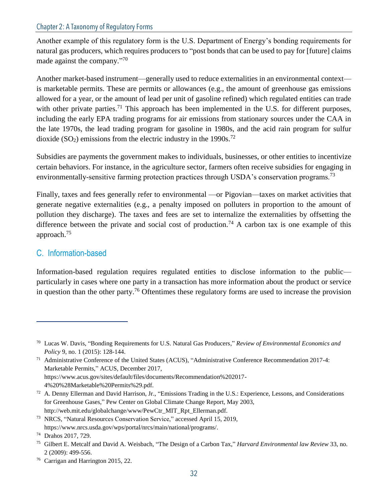Another example of this regulatory form is the U.S. Department of Energy's bonding requirements for natural gas producers, which requires producers to "post bonds that can be used to pay for [future] claims made against the company."<sup>70</sup>

Another market-based instrument—generally used to reduce externalities in an environmental context is marketable permits. These are permits or allowances (e.g., the amount of greenhouse gas emissions allowed for a year, or the amount of lead per unit of gasoline refined) which regulated entities can trade with other private parties.<sup>71</sup> This approach has been implemented in the U.S. for different purposes, including the early EPA trading programs for air emissions from stationary sources under the CAA in the late 1970s, the lead trading program for gasoline in 1980s, and the acid rain program for sulfur dioxide (SO<sub>2</sub>) emissions from the electric industry in the 1990s.<sup>72</sup>

Subsidies are payments the government makes to individuals, businesses, or other entities to incentivize certain behaviors. For instance, in the agriculture sector, farmers often receive subsidies for engaging in environmentally-sensitive farming protection practices through USDA's conservation programs.<sup>73</sup>

Finally, taxes and fees generally refer to environmental —or Pigovian—taxes on market activities that generate negative externalities (e.g., a penalty imposed on polluters in proportion to the amount of pollution they discharge). The taxes and fees are set to internalize the externalities by offsetting the difference between the private and social cost of production.<sup>74</sup> A carbon tax is one example of this approach.<sup>75</sup>

## C. Information-based

Information-based regulation requires regulated entities to disclose information to the public particularly in cases where one party in a transaction has more information about the product or service in question than the other party.<sup>76</sup> Oftentimes these regulatory forms are used to increase the provision

<sup>71</sup> Administrative Conference of the United States (ACUS), "Administrative Conference Recommendation 2017-4: Marketable Permits," ACUS, December 2017, https://www.acus.gov/sites/default/files/documents/Recommendation%202017- 4%20%28Marketable%20Permits%29.pdf.

<sup>70</sup> Lucas W. Davis, "Bonding Requirements for U.S. Natural Gas Producers," *Review of Environmental Economics and Policy* 9, no. 1 (2015): 128-144.

 $72$  A. Denny Ellerman and David Harrison, Jr., "Emissions Trading in the U.S.: Experience, Lessons, and Considerations for Greenhouse Gases," Pew Center on Global Climate Change Report, May 2003, http://web.mit.edu/globalchange/www/PewCtr\_MIT\_Rpt\_Ellerman.pdf.

<sup>73</sup> NRCS, "Natural Resources Conservation Service," accessed April 15, 2019, https://www.nrcs.usda.gov/wps/portal/nrcs/main/national/programs/.

<sup>74</sup> Drahos 2017, 729.

<sup>75</sup> Gilbert E. Metcalf and David A. Weisbach, "The Design of a Carbon Tax," *Harvard Environmental law Review* 33, no. 2 (2009): 499-556.

<sup>76</sup> Carrigan and Harrington 2015, 22.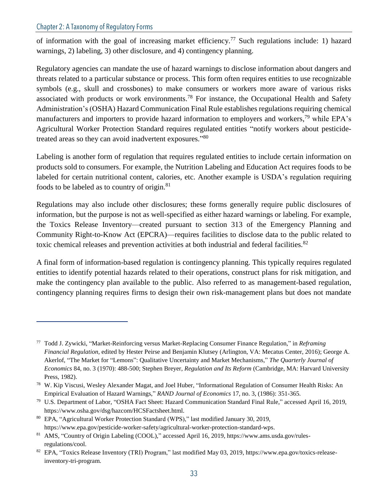of information with the goal of increasing market efficiency.<sup>77</sup> Such regulations include: 1) hazard warnings, 2) labeling, 3) other disclosure, and 4) contingency planning.

Regulatory agencies can mandate the use of hazard warnings to disclose information about dangers and threats related to a particular substance or process. This form often requires entities to use recognizable symbols (e.g., skull and crossbones) to make consumers or workers more aware of various risks associated with products or work environments.<sup>78</sup> For instance, the Occupational Health and Safety Administration's (OSHA) Hazard Communication Final Rule establishes regulations requiring chemical manufacturers and importers to provide hazard information to employers and workers,<sup>79</sup> while EPA's Agricultural Worker Protection Standard requires regulated entities "notify workers about pesticidetreated areas so they can avoid inadvertent exposures."<sup>80</sup>

Labeling is another form of regulation that requires regulated entities to include certain information on products sold to consumers. For example, the Nutrition Labeling and Education Act requires foods to be labeled for certain nutritional content, calories, etc. Another example is USDA's regulation requiring foods to be labeled as to country of origin.<sup>81</sup>

Regulations may also include other disclosures; these forms generally require public disclosures of information, but the purpose is not as well-specified as either hazard warnings or labeling. For example, the Toxics Release Inventory—created pursuant to section 313 of the Emergency Planning and Community Right-to-Know Act (EPCRA)—requires facilities to disclose data to the public related to toxic chemical releases and prevention activities at both industrial and federal facilities.<sup>82</sup>

A final form of information-based regulation is contingency planning. This typically requires regulated entities to identify potential hazards related to their operations, construct plans for risk mitigation, and make the contingency plan available to the public. Also referred to as management-based regulation, contingency planning requires firms to design their own risk-management plans but does not mandate

<sup>77</sup> Todd J. Zywicki, "Market-Reinforcing versus Market-Replacing Consumer Finance Regulation," in *Reframing Financial Regulation*, edited by Hester Peirse and Benjamin Klutsey (Arlington, VA: Mecatus Center, 2016); George A. Akerlof, "The Market for "Lemons": Qualitative Uncertainty and Market Mechanisms," *The Quarterly Journal of Economics* 84, no. 3 (1970): 488-500; Stephen Breyer, *Regulation and Its Reform* (Cambridge, MA: Harvard University Press, 1982).

<sup>78</sup> W. Kip Viscusi, Wesley Alexander Magat, and Joel Huber, "Informational Regulation of Consumer Health Risks: An Empirical Evaluation of Hazard Warnings," *RAND Journal of Economics* 17, no. 3, (1986): 351-365.

<sup>79</sup> U.S. Department of Labor, "OSHA Fact Sheet: Hazard Communication Standard Final Rule," accessed April 16, 2019, https://www.osha.gov/dsg/hazcom/HCSFactsheet.html.

<sup>80</sup> EPA, "Agricultural Worker Protection Standard (WPS)," last modified January 30, 2019, https://www.epa.gov/pesticide-worker-safety/agricultural-worker-protection-standard-wps.

<sup>&</sup>lt;sup>81</sup> AMS, "Country of Origin Labeling (COOL)," accessed April 16, 2019, https://www.ams.usda.gov/rulesregulations/cool.

<sup>82</sup> EPA, "Toxics Release Inventory (TRI) Program," last modified May 03, 2019, https://www.epa.gov/toxics-releaseinventory-tri-program.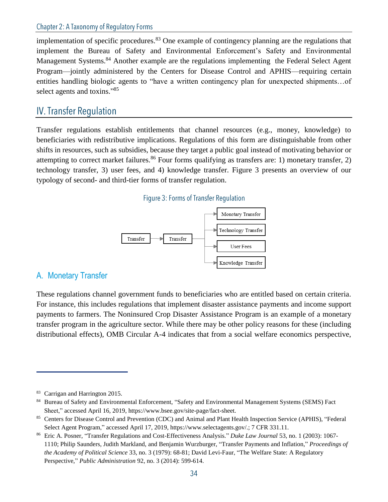implementation of specific procedures.<sup>83</sup> One example of contingency planning are the regulations that implement the Bureau of Safety and Environmental Enforcement's Safety and Environmental Management Systems.<sup>84</sup> Another example are the regulations implementing the Federal Select Agent Program—jointly administered by the Centers for Disease Control and APHIS—requiring certain entities handling biologic agents to "have a written contingency plan for unexpected shipments…of select agents and toxins."<sup>85</sup>

# **IV. Transfer Regulation**

Transfer regulations establish entitlements that channel resources (e.g., money, knowledge) to beneficiaries with redistributive implications. Regulations of this form are distinguishable from other shifts in resources, such as subsidies, because they target a public goal instead of motivating behavior or attempting to correct market failures.<sup>86</sup> Four forms qualifying as transfers are: 1) monetary transfer, 2) technology transfer, 3) user fees, and 4) knowledge transfer. Figure 3 presents an overview of our typology of second- and third-tier forms of transfer regulation.

#### Figure 3: Forms of Transfer Regulation



## A. Monetary Transfer

These regulations channel government funds to beneficiaries who are entitled based on certain criteria. For instance, this includes regulations that implement disaster assistance payments and income support payments to farmers. The Noninsured Crop Disaster Assistance Program is an example of a monetary transfer program in the agriculture sector. While there may be other policy reasons for these (including distributional effects), OMB Circular A-4 indicates that from a social welfare economics perspective,

<sup>83</sup> Carrigan and Harrington 2015.

<sup>84</sup> Bureau of Safety and Environmental Enforcement, "Safety and Environmental Management Systems (SEMS) Fact Sheet," accessed April 16, 2019, https://www.bsee.gov/site-page/fact-sheet.

<sup>85</sup> Centers for Disease Control and Prevention (CDC) and Animal and Plant Health Inspection Service (APHIS), "Federal Select Agent Program," accessed April 17, 2019, https://www.selectagents.gov/.; 7 CFR 331.11.

<sup>86</sup> Eric A. Posner, "Transfer Regulations and Cost-Effectiveness Analysis." *Duke Law Journal* 53, no. 1 (2003): 1067- 1110; Philip Saunders, Judith Markland, and Benjamin Wurzburger, "Transfer Payments and Inflation," *Proceedings of the Academy of Political Science* 33, no. 3 (1979): 68-81; David Levi-Faur, "The Welfare State: A Regulatory Perspective," *Public Administration* 92, no. 3 (2014): 599-614.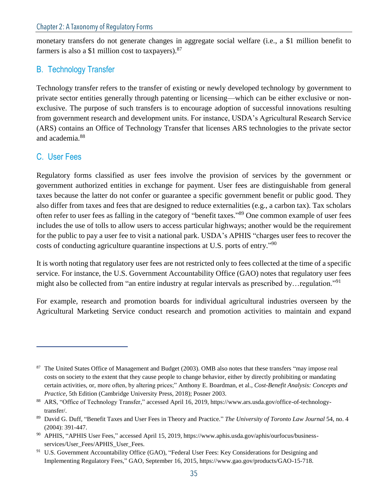monetary transfers do not generate changes in aggregate social welfare (i.e., a \$1 million benefit to farmers is also a \$1 million cost to taxpayers).  $87$ 

# B. Technology Transfer

Technology transfer refers to the transfer of existing or newly developed technology by government to private sector entities generally through patenting or licensing—which can be either exclusive or nonexclusive. The purpose of such transfers is to encourage adoption of successful innovations resulting from government research and development units. For instance, USDA's Agricultural Research Service (ARS) contains an Office of Technology Transfer that licenses ARS technologies to the private sector and academia.<sup>88</sup>

# C. User Fees

Regulatory forms classified as user fees involve the provision of services by the government or government authorized entities in exchange for payment. User fees are distinguishable from general taxes because the latter do not confer or guarantee a specific government benefit or public good. They also differ from taxes and fees that are designed to reduce externalities (e.g., a carbon tax). Tax scholars often refer to user fees as falling in the category of "benefit taxes."<sup>89</sup> One common example of user fees includes the use of tolls to allow users to access particular highways; another would be the requirement for the public to pay a user fee to visit a national park. USDA's APHIS "charges user fees to recover the costs of conducting agriculture quarantine inspections at U.S. ports of entry."<sup>90</sup>

It is worth noting that regulatory user fees are not restricted only to fees collected at the time of a specific service. For instance, the U.S. Government Accountability Office (GAO) notes that regulatory user fees might also be collected from "an entire industry at regular intervals as prescribed by... regulation."<sup>91</sup>

For example, research and promotion boards for individual agricultural industries overseen by the Agricultural Marketing Service conduct research and promotion activities to maintain and expand

<sup>87</sup> The United States Office of Management and Budget (2003). OMB also notes that these transfers "may impose real costs on society to the extent that they cause people to change behavior, either by directly prohibiting or mandating certain activities, or, more often, by altering prices;" Anthony E. Boardman, et al., *Cost-Benefit Analysis: Concepts and Practice*, 5th Edition (Cambridge University Press, 2018); Posner 2003.

<sup>88</sup> ARS, "Office of Technology Transfer," accessed April 16, 2019, https://www.ars.usda.gov/office-of-technologytransfer/.

<sup>89</sup> David G. Duff, "Benefit Taxes and User Fees in Theory and Practice." *The University of Toronto Law Journal* 54, no. 4 (2004): 391-447.

<sup>90</sup> APHIS, "APHIS User Fees," accessed April 15, 2019, https://www.aphis.usda.gov/aphis/ourfocus/businessservices/User\_Fees/APHIS\_User\_Fees.

<sup>&</sup>lt;sup>91</sup> U.S. Government Accountability Office (GAO), "Federal User Fees: Key Considerations for Designing and Implementing Regulatory Fees," GAO, September 16, 2015, https://www.gao.gov/products/GAO-15-718.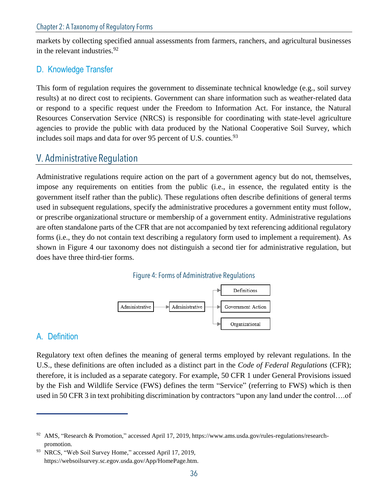markets by collecting specified annual assessments from farmers, ranchers, and agricultural businesses in the relevant industries.<sup>92</sup>

## D. Knowledge Transfer

This form of regulation requires the government to disseminate technical knowledge (e.g., soil survey results) at no direct cost to recipients. Government can share information such as weather-related data or respond to a specific request under the Freedom to Information Act. For instance, the Natural Resources Conservation Service (NRCS) is responsible for coordinating with state-level agriculture agencies to provide the public with data produced by the National Cooperative Soil Survey, which includes soil maps and data for over 95 percent of U.S. counties.<sup>93</sup>

# V. Administrative Regulation

Administrative regulations require action on the part of a government agency but do not, themselves, impose any requirements on entities from the public (i.e., in essence, the regulated entity is the government itself rather than the public). These regulations often describe definitions of general terms used in subsequent regulations, specify the administrative procedures a government entity must follow, or prescribe organizational structure or membership of a government entity. Administrative regulations are often standalone parts of the CFR that are not accompanied by text referencing additional regulatory forms (i.e., they do not contain text describing a regulatory form used to implement a requirement). As shown in Figure 4 our taxonomy does not distinguish a second tier for administrative regulation, but does have three third-tier forms.

Figure 4: Forms of Administrative Regulations



## A. Definition

Regulatory text often defines the meaning of general terms employed by relevant regulations. In the U.S., these definitions are often included as a distinct part in the *Code of Federal Regulations* (CFR); therefore, it is included as a separate category. For example, 50 CFR 1 under General Provisions issued by the Fish and Wildlife Service (FWS) defines the term "Service" (referring to FWS) which is then used in 50 CFR 3 in text prohibiting discrimination by contractors "upon any land under the control….of

<sup>92</sup> AMS, "Research & Promotion," accessed April 17, 2019, https://www.ams.usda.gov/rules-regulations/researchpromotion.

<sup>93</sup> NRCS, "Web Soil Survey Home," accessed April 17, 2019, https://websoilsurvey.sc.egov.usda.gov/App/HomePage.htm.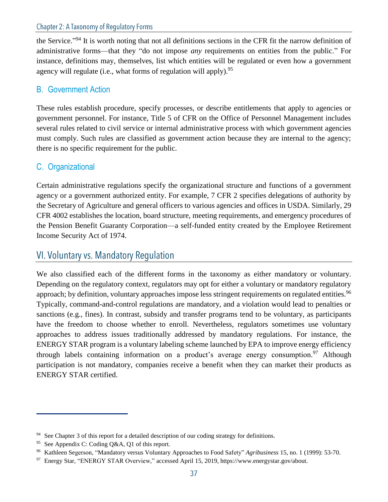the Service."<sup>94</sup> It is worth noting that not all definitions sections in the CFR fit the narrow definition of administrative forms—that they "do not impose *any* requirements on entities from the public." For instance, definitions may, themselves, list which entities will be regulated or even how a government agency will regulate (i.e., what forms of regulation will apply).  $95$ 

## B. Government Action

These rules establish procedure, specify processes, or describe entitlements that apply to agencies or government personnel. For instance, Title 5 of CFR on the Office of Personnel Management includes several rules related to civil service or internal administrative process with which government agencies must comply. Such rules are classified as government action because they are internal to the agency; there is no specific requirement for the public.

# C. Organizational

Certain administrative regulations specify the organizational structure and functions of a government agency or a government authorized entity. For example, 7 CFR 2 specifies delegations of authority by the Secretary of Agriculture and general officers to various agencies and offices in USDA. Similarly, 29 CFR 4002 establishes the location, board structure, meeting requirements, and emergency procedures of the Pension Benefit Guaranty Corporation—a self-funded entity created by the Employee Retirement Income Security Act of 1974.

# VI. Voluntary vs. Mandatory Regulation

We also classified each of the different forms in the taxonomy as either mandatory or voluntary. Depending on the regulatory context, regulators may opt for either a voluntary or mandatory regulatory approach; by definition, voluntary approaches impose less stringent requirements on regulated entities.<sup>96</sup> Typically, command-and-control regulations are mandatory, and a violation would lead to penalties or sanctions (e.g., fines). In contrast, subsidy and transfer programs tend to be voluntary, as participants have the freedom to choose whether to enroll. Nevertheless, regulators sometimes use voluntary approaches to address issues traditionally addressed by mandatory regulations. For instance, the ENERGY STAR program is a voluntary labeling scheme launched by EPA to improve energy efficiency through labels containing information on a product's average energy consumption.<sup>97</sup> Although participation is not mandatory, companies receive a benefit when they can market their products as ENERGY STAR certified.

<sup>&</sup>lt;sup>94</sup> See Chapter 3 of this report for a detailed description of our coding strategy for definitions.

<sup>95</sup> See Appendix C: Coding Q&A, Q1 of this report.

<sup>96</sup> Kathleen Segerson, "Mandatory versus Voluntary Approaches to Food Safety" *Agribusiness* 15, no. 1 (1999): 53-70.

<sup>97</sup> Energy Star, "ENERGY STAR Overview," accessed April 15, 2019, https://www.energystar.gov/about.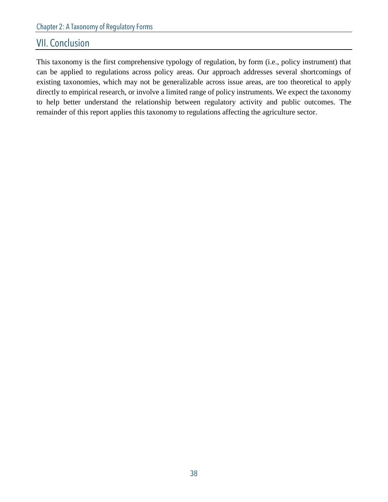# **VII. Conclusion**

This taxonomy is the first comprehensive typology of regulation, by form (i.e., policy instrument) that can be applied to regulations across policy areas. Our approach addresses several shortcomings of existing taxonomies, which may not be generalizable across issue areas, are too theoretical to apply directly to empirical research, or involve a limited range of policy instruments. We expect the taxonomy to help better understand the relationship between regulatory activity and public outcomes. The remainder of this report applies this taxonomy to regulations affecting the agriculture sector.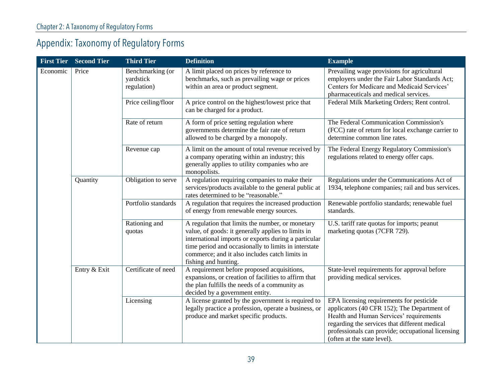# Appendix: Taxonomy of Regulatory Forms

|          | <b>First Tier</b> Second Tier | <b>Third Tier</b>                            | <b>Definition</b>                                                                                                                                                                                                                                                                                | <b>Example</b>                                                                                                                                                                                                                                                          |
|----------|-------------------------------|----------------------------------------------|--------------------------------------------------------------------------------------------------------------------------------------------------------------------------------------------------------------------------------------------------------------------------------------------------|-------------------------------------------------------------------------------------------------------------------------------------------------------------------------------------------------------------------------------------------------------------------------|
| Economic | Price                         | Benchmarking (or<br>yardstick<br>regulation) | A limit placed on prices by reference to<br>benchmarks, such as prevailing wage or prices<br>within an area or product segment.                                                                                                                                                                  | Prevailing wage provisions for agricultural<br>employers under the Fair Labor Standards Act;<br>Centers for Medicare and Medicaid Services'<br>pharmaceuticals and medical services.                                                                                    |
|          |                               | Price ceiling/floor                          | A price control on the highest/lowest price that<br>can be charged for a product.                                                                                                                                                                                                                | Federal Milk Marketing Orders; Rent control.                                                                                                                                                                                                                            |
|          |                               | Rate of return                               | A form of price setting regulation where<br>governments determine the fair rate of return<br>allowed to be charged by a monopoly.                                                                                                                                                                | The Federal Communication Commission's<br>(FCC) rate of return for local exchange carrier to<br>determine common line rates.                                                                                                                                            |
|          |                               | Revenue cap                                  | A limit on the amount of total revenue received by<br>a company operating within an industry; this<br>generally applies to utility companies who are<br>monopolists.                                                                                                                             | The Federal Energy Regulatory Commission's<br>regulations related to energy offer caps.                                                                                                                                                                                 |
|          | Quantity                      | Obligation to serve                          | A regulation requiring companies to make their<br>services/products available to the general public at<br>rates determined to be "reasonable."                                                                                                                                                   | Regulations under the Communications Act of<br>1934, telephone companies; rail and bus services.                                                                                                                                                                        |
|          |                               | Portfolio standards                          | A regulation that requires the increased production<br>of energy from renewable energy sources.                                                                                                                                                                                                  | Renewable portfolio standards; renewable fuel<br>standards.                                                                                                                                                                                                             |
|          |                               | Rationing and<br>quotas                      | A regulation that limits the number, or monetary<br>value, of goods: it generally applies to limits in<br>international imports or exports during a particular<br>time period and occasionally to limits in interstate<br>commerce; and it also includes catch limits in<br>fishing and hunting. | U.S. tariff rate quotas for imports; peanut<br>marketing quotas (7CFR 729).                                                                                                                                                                                             |
|          | Entry & Exit                  | Certificate of need                          | A requirement before proposed acquisitions,<br>expansions, or creation of facilities to affirm that<br>the plan fulfills the needs of a community as<br>decided by a government entity.                                                                                                          | State-level requirements for approval before<br>providing medical services.                                                                                                                                                                                             |
|          |                               | Licensing                                    | A license granted by the government is required to<br>legally practice a profession, operate a business, or<br>produce and market specific products.                                                                                                                                             | EPA licensing requirements for pesticide<br>applicators (40 CFR 152); The Department of<br>Health and Human Services' requirements<br>regarding the services that different medical<br>professionals can provide; occupational licensing<br>(often at the state level). |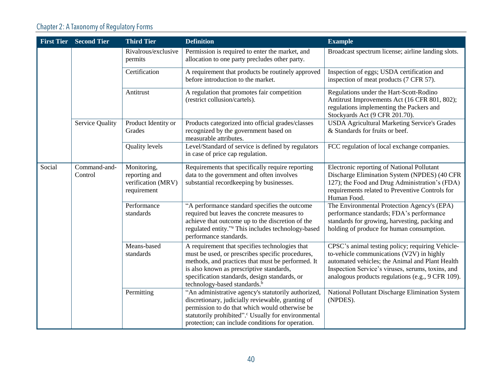|        | <b>First Tier</b> Second Tier | <b>Third Tier</b>                                                 | <b>Definition</b>                                                                                                                                                                                                                                                                                | <b>Example</b>                                                                                                                                                                                                                                             |
|--------|-------------------------------|-------------------------------------------------------------------|--------------------------------------------------------------------------------------------------------------------------------------------------------------------------------------------------------------------------------------------------------------------------------------------------|------------------------------------------------------------------------------------------------------------------------------------------------------------------------------------------------------------------------------------------------------------|
|        |                               | Rivalrous/exclusive<br>permits                                    | Permission is required to enter the market, and<br>allocation to one party precludes other party.                                                                                                                                                                                                | Broadcast spectrum license; airline landing slots.                                                                                                                                                                                                         |
|        |                               | Certification                                                     | A requirement that products be routinely approved<br>before introduction to the market.                                                                                                                                                                                                          | Inspection of eggs; USDA certification and<br>inspection of meat products (7 CFR 57).                                                                                                                                                                      |
|        |                               | Antitrust                                                         | A regulation that promotes fair competition<br>(restrict collusion/cartels).                                                                                                                                                                                                                     | Regulations under the Hart-Scott-Rodino<br>Antitrust Improvements Act (16 CFR 801, 802);<br>regulations implementing the Packers and<br>Stockyards Act (9 CFR 201.70).                                                                                     |
|        | <b>Service Quality</b>        | Product Identity or<br>Grades                                     | Products categorized into official grades/classes<br>recognized by the government based on<br>measurable attributes.                                                                                                                                                                             | <b>USDA Agricultural Marketing Service's Grades</b><br>& Standards for fruits or beef.                                                                                                                                                                     |
|        |                               | <b>Quality levels</b>                                             | Level/Standard of service is defined by regulators<br>in case of price cap regulation.                                                                                                                                                                                                           | FCC regulation of local exchange companies.                                                                                                                                                                                                                |
| Social | Command-and-<br>Control       | Monitoring,<br>reporting and<br>verification (MRV)<br>requirement | Requirements that specifically require reporting<br>data to the government and often involves<br>substantial recordkeeping by businesses.                                                                                                                                                        | Electronic reporting of National Pollutant<br>Discharge Elimination System (NPDES) (40 CFR<br>127); the Food and Drug Administration's (FDA)<br>requirements related to Preventive Controls for<br>Human Food.                                             |
|        |                               | Performance<br>standards                                          | "A performance standard specifies the outcome<br>required but leaves the concrete measures to<br>achieve that outcome up to the discretion of the<br>regulated entity." This includes technology-based<br>performance standards.                                                                 | The Environmental Protection Agency's (EPA)<br>performance standards; FDA's performance<br>standards for growing, harvesting, packing and<br>holding of produce for human consumption.                                                                     |
|        |                               | Means-based<br>standards                                          | A requirement that specifies technologies that<br>must be used, or prescribes specific procedures,<br>methods, and practices that must be performed. It<br>is also known as prescriptive standards,<br>specification standards, design standards, or<br>technology-based standards. <sup>b</sup> | CPSC's animal testing policy; requiring Vehicle-<br>to-vehicle communications (V2V) in highly<br>automated vehicles; the Animal and Plant Health<br>Inspection Service's viruses, serums, toxins, and<br>analogous products regulations (e.g., 9 CFR 109). |
|        |                               | Permitting                                                        | "An administrative agency's statutorily authorized,<br>discretionary, judicially reviewable, granting of<br>permission to do that which would otherwise be<br>statutorily prohibited". Usually for environmental<br>protection; can include conditions for operation.                            | National Pollutant Discharge Elimination System<br>(NPDES).                                                                                                                                                                                                |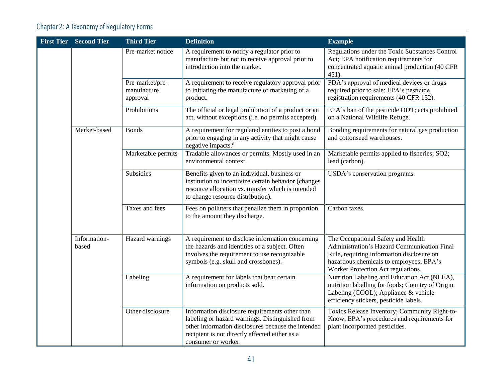| <b>First Tier</b> | <b>Second Tier</b>    | <b>Third Tier</b>                          | <b>Definition</b>                                                                                                                                                                                                                | <b>Example</b>                                                                                                                                                                                                  |
|-------------------|-----------------------|--------------------------------------------|----------------------------------------------------------------------------------------------------------------------------------------------------------------------------------------------------------------------------------|-----------------------------------------------------------------------------------------------------------------------------------------------------------------------------------------------------------------|
|                   |                       | Pre-market notice                          | A requirement to notify a regulator prior to<br>manufacture but not to receive approval prior to<br>introduction into the market.                                                                                                | Regulations under the Toxic Substances Control<br>Act; EPA notification requirements for<br>concentrated aquatic animal production (40 CFR<br>$451$ ).                                                          |
|                   |                       | Pre-market/pre-<br>manufacture<br>approval | A requirement to receive regulatory approval prior<br>to initiating the manufacture or marketing of a<br>product.                                                                                                                | FDA's approval of medical devices or drugs<br>required prior to sale; EPA's pesticide<br>registration requirements (40 CFR 152).                                                                                |
|                   |                       | Prohibitions                               | The official or legal prohibition of a product or an<br>act, without exceptions (i.e. no permits accepted).                                                                                                                      | EPA's ban of the pesticide DDT; acts prohibited<br>on a National Wildlife Refuge.                                                                                                                               |
|                   | Market-based          | <b>Bonds</b>                               | A requirement for regulated entities to post a bond<br>prior to engaging in any activity that might cause<br>negative impacts. <sup>d</sup>                                                                                      | Bonding requirements for natural gas production<br>and cottonseed warehouses.                                                                                                                                   |
|                   |                       | Marketable permits                         | Tradable allowances or permits. Mostly used in an<br>environmental context.                                                                                                                                                      | Marketable permits applied to fisheries; SO2;<br>lead (carbon).                                                                                                                                                 |
|                   |                       | Subsidies                                  | Benefits given to an individual, business or<br>institution to incentivize certain behavior (changes<br>resource allocation vs. transfer which is intended<br>to change resource distribution).                                  | USDA's conservation programs.                                                                                                                                                                                   |
|                   |                       | Taxes and fees                             | Fees on polluters that penalize them in proportion<br>to the amount they discharge.                                                                                                                                              | Carbon taxes.                                                                                                                                                                                                   |
|                   | Information-<br>based | Hazard warnings                            | A requirement to disclose information concerning<br>the hazards and identities of a subject. Often<br>involves the requirement to use recognizable<br>symbols (e.g. skull and crossbones).                                       | The Occupational Safety and Health<br>Administration's Hazard Communication Final<br>Rule, requiring information disclosure on<br>hazardous chemicals to employees; EPA's<br>Worker Protection Act regulations. |
|                   |                       | Labeling                                   | A requirement for labels that bear certain<br>information on products sold.                                                                                                                                                      | Nutrition Labeling and Education Act (NLEA),<br>nutrition labelling for foods; Country of Origin<br>Labeling (COOL); Appliance & vehicle<br>efficiency stickers, pesticide labels.                              |
|                   |                       | Other disclosure                           | Information disclosure requirements other than<br>labeling or hazard warnings. Distinguished from<br>other information disclosures because the intended<br>recipient is not directly affected either as a<br>consumer or worker. | Toxics Release Inventory; Community Right-to-<br>Know; EPA's procedures and requirements for<br>plant incorporated pesticides.                                                                                  |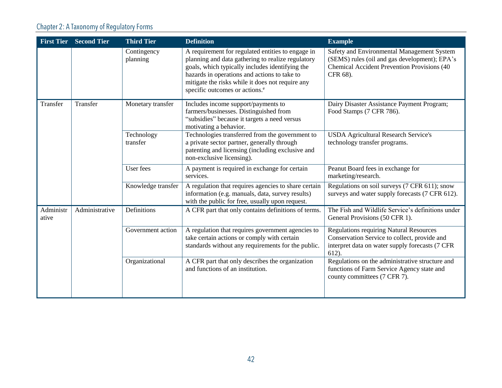|                    | <b>First Tier</b> Second Tier | <b>Third Tier</b>       | <b>Definition</b>                                                                                                                                                                                                                                                                                           | <b>Example</b>                                                                                                                                                |
|--------------------|-------------------------------|-------------------------|-------------------------------------------------------------------------------------------------------------------------------------------------------------------------------------------------------------------------------------------------------------------------------------------------------------|---------------------------------------------------------------------------------------------------------------------------------------------------------------|
|                    |                               | Contingency<br>planning | A requirement for regulated entities to engage in<br>planning and data gathering to realize regulatory<br>goals, which typically includes identifying the<br>hazards in operations and actions to take to<br>mitigate the risks while it does not require any<br>specific outcomes or actions. <sup>e</sup> | Safety and Environmental Management System<br>(SEMS) rules (oil and gas development); EPA's<br>Chemical Accident Prevention Provisions (40<br>CFR 68).        |
| Transfer           | Transfer                      | Monetary transfer       | Includes income support/payments to<br>farmers/businesses. Distinguished from<br>"subsidies" because it targets a need versus<br>motivating a behavior.                                                                                                                                                     | Dairy Disaster Assistance Payment Program;<br>Food Stamps (7 CFR 786).                                                                                        |
|                    |                               | Technology<br>transfer  | Technologies transferred from the government to<br>a private sector partner, generally through<br>patenting and licensing (including exclusive and<br>non-exclusive licensing).                                                                                                                             | <b>USDA Agricultural Research Service's</b><br>technology transfer programs.                                                                                  |
|                    |                               | User fees               | A payment is required in exchange for certain<br>services.                                                                                                                                                                                                                                                  | Peanut Board fees in exchange for<br>marketing/research.                                                                                                      |
|                    |                               | Knowledge transfer      | A regulation that requires agencies to share certain<br>information (e.g. manuals, data, survey results)<br>with the public for free, usually upon request.                                                                                                                                                 | Regulations on soil surveys (7 CFR 611); snow<br>surveys and water supply forecasts (7 CFR 612).                                                              |
| Administr<br>ative | Administrative                | Definitions             | A CFR part that only contains definitions of terms.                                                                                                                                                                                                                                                         | The Fish and Wildlife Service's definitions under<br>General Provisions (50 CFR 1).                                                                           |
|                    |                               | Government action       | A regulation that requires government agencies to<br>take certain actions or comply with certain<br>standards without any requirements for the public.                                                                                                                                                      | <b>Regulations requiring Natural Resources</b><br>Conservation Service to collect, provide and<br>interpret data on water supply forecasts (7 CFR<br>$612$ ). |
|                    |                               | Organizational          | A CFR part that only describes the organization<br>and functions of an institution.                                                                                                                                                                                                                         | Regulations on the administrative structure and<br>functions of Farm Service Agency state and<br>county committees (7 CFR 7).                                 |